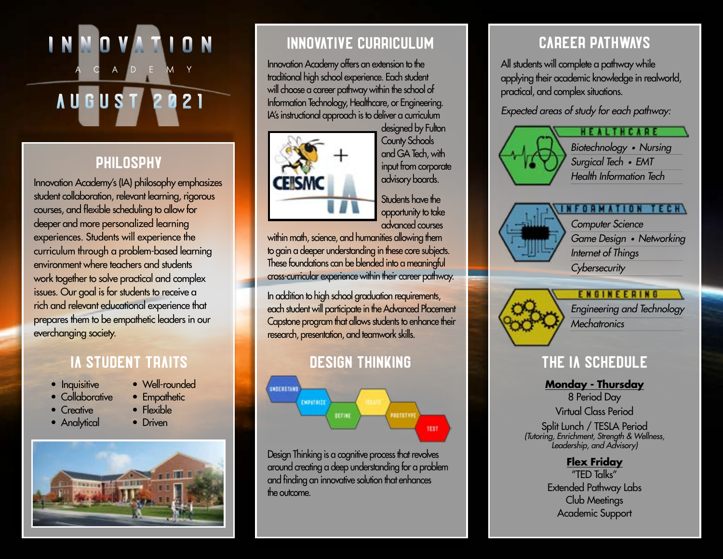# ACADEMY AUGUST 2021

# [PHILOSPHY](https://www.fultonschools.org/domain/7319)

Innovation Academy's (IA) philosophy emphasizes student collaboration, relevant learning, rigorous courses, and flexible scheduling to allow for deeper and more personalized learning experiences. Students will experience the curriculum through a problem-based learning environment where teachers and students work together to solve practical and complex issues. Our goal is for students to receive a rich and relevant educational experience that prepares them to be empathetic leaders in our everchanging society.

## [IA STUDENT TRAITS](https://www.fultonschools.org/domain/7777) THE INTERNATIONAL EXAMPLE THE INTERNATIONAL EXAMPLE THE INTERNATIONAL EXAMPLE THE INTERNATION

- Inquisitive
- Collaborative • Well-rounded
- Creative
- 
- Analytical

# • Empathetic

- Flexible
- Driven



# [INNOVATIVE CURRICULUM](https://www.fultonschools.org/domain/7349)

Innovation Academy offers an extension to the traditional high school experience. Each student will choose a career pathway within the school of Information Technology, Healthcare, or Engineering. IA's instructional approach is to deliver a curriculum



designed by Fulton County Schools and GA Tech, with input from corporate advisory boards. Students have the

opportunity to take advanced courses

within math, science, and humanities allowing them to gain a deeper understanding in these core subjects. These foundations can be blended into a meaningful cross-curricular experience within their career pathway.

In addition to high school graduation requirements, each student will participate in the Advanced Placement Capstone program that allows students to enhance their research, presentation, and teamwork skills.

# [DESIGN THINKING](https://www.fultonschools.org/Page/20462)



Design Thinking is a cognitive process that revolves around creating a deep understanding for a problem and finding an innovative solution that enhances the outcome.

# [CAREER PATHWAYS](https://www.fultonschools.org/Page/20455)

All students will complete a pathway while applying their academic knowledge in realworld, practical, and complex situations.

*Expected areas of study for each pathway:*





*Computer Science Game Design • Networking Internet of Things Cybersecurity*



**ENGINEERING** *Engineering and Technology Mechatronics*

**Monday - Thursday** 8 Period Day

Virtual Class Period Split Lunch / TESLA Period *(Tutoring, Enrichment, Strength & Wellness, Leadership, and Advisory)*

### **Flex Friday**

"TED Talks" Extended Pathway Labs Club Meetings Academic Support